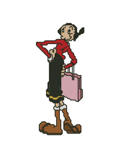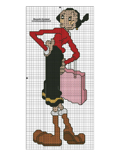